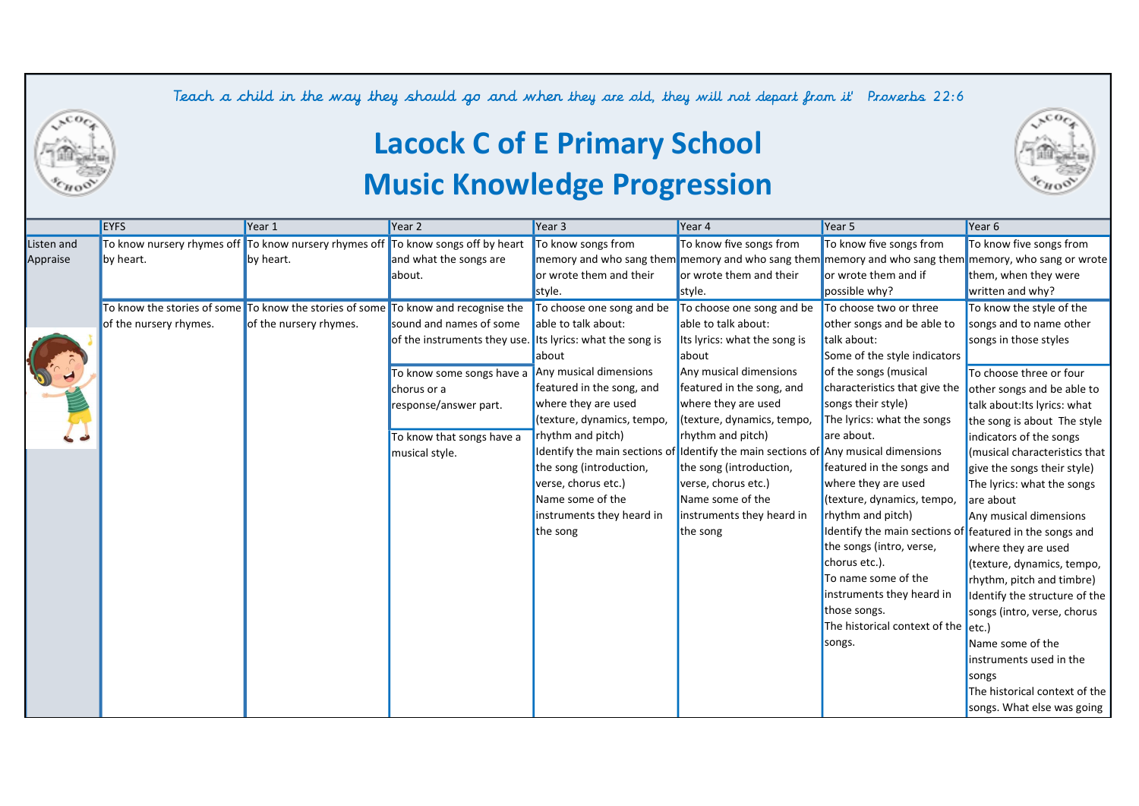Teach a child in the way they should go and when they are old, they will not depart from it Proverbs 22:6



## Lacock C of E Primary School Music Knowledge Progression

|            | <b>EYFS</b>            | Year 1                                                                            | Year 2                                                    | Year 3                     | Year 4                                                                             | Year 5                                                  | Year 6                                                                                               |
|------------|------------------------|-----------------------------------------------------------------------------------|-----------------------------------------------------------|----------------------------|------------------------------------------------------------------------------------|---------------------------------------------------------|------------------------------------------------------------------------------------------------------|
| Listen and |                        | To know nursery rhymes off To know nursery rhymes off To know songs off by heart  |                                                           | To know songs from         | To know five songs from                                                            | To know five songs from                                 | To know five songs from                                                                              |
| Appraise   | by heart.              | by heart.                                                                         | and what the songs are                                    |                            |                                                                                    |                                                         | memory and who sang them memory and who sang them memory and who sang them memory, who sang or wrote |
|            |                        |                                                                                   | about.                                                    | or wrote them and their    | or wrote them and their                                                            | or wrote them and if                                    | them, when they were                                                                                 |
|            |                        |                                                                                   |                                                           | style.                     | style.                                                                             | possible why?                                           | written and why?                                                                                     |
|            |                        | To know the stories of some To know the stories of some To know and recognise the |                                                           | To choose one song and be  | To choose one song and be                                                          | To choose two or three                                  | To know the style of the                                                                             |
|            | of the nursery rhymes. | of the nursery rhymes.                                                            | sound and names of some                                   | able to talk about:        | able to talk about:                                                                | other songs and be able to                              | songs and to name other                                                                              |
|            |                        |                                                                                   | of the instruments they use. Its lyrics: what the song is |                            | Its lyrics: what the song is                                                       | talk about:                                             | songs in those styles                                                                                |
|            |                        |                                                                                   |                                                           | about                      | about                                                                              | Some of the style indicators                            |                                                                                                      |
|            |                        |                                                                                   | To know some songs have a Any musical dimensions          |                            | Any musical dimensions                                                             | of the songs (musical                                   | To choose three or four                                                                              |
|            |                        |                                                                                   | chorus or a                                               | featured in the song, and  | featured in the song, and                                                          | characteristics that give the                           | other songs and be able to                                                                           |
|            |                        |                                                                                   | response/answer part.                                     | where they are used        | where they are used                                                                | songs their style)                                      | talk about: Its lyrics: what                                                                         |
|            |                        |                                                                                   |                                                           | (texture, dynamics, tempo, | (texture, dynamics, tempo,                                                         | The lyrics: what the songs                              | the song is about The style                                                                          |
|            |                        |                                                                                   | To know that songs have a                                 | rhythm and pitch)          | rhythm and pitch)                                                                  | are about.                                              | indicators of the songs                                                                              |
|            |                        |                                                                                   | musical style.                                            |                            | Identify the main sections of Identify the main sections of Any musical dimensions |                                                         | (musical characteristics that                                                                        |
|            |                        |                                                                                   |                                                           | the song (introduction,    | the song (introduction,                                                            | featured in the songs and                               | give the songs their style)                                                                          |
|            |                        |                                                                                   |                                                           | verse, chorus etc.)        | verse, chorus etc.)                                                                | where they are used                                     | The lyrics: what the songs                                                                           |
|            |                        |                                                                                   |                                                           | Name some of the           | Name some of the                                                                   | (texture, dynamics, tempo,                              | are about                                                                                            |
|            |                        |                                                                                   |                                                           | instruments they heard in  | instruments they heard in                                                          | rhythm and pitch)                                       | Any musical dimensions                                                                               |
|            |                        |                                                                                   |                                                           | the song                   | the song                                                                           | Identify the main sections of featured in the songs and |                                                                                                      |
|            |                        |                                                                                   |                                                           |                            |                                                                                    | the songs (intro, verse,                                | where they are used                                                                                  |
|            |                        |                                                                                   |                                                           |                            |                                                                                    | chorus etc.).                                           | (texture, dynamics, tempo,                                                                           |
|            |                        |                                                                                   |                                                           |                            |                                                                                    | To name some of the                                     | rhythm, pitch and timbre)                                                                            |
|            |                        |                                                                                   |                                                           |                            |                                                                                    | instruments they heard in                               | Identify the structure of the                                                                        |
|            |                        |                                                                                   |                                                           |                            |                                                                                    | those songs.                                            | songs (intro, verse, chorus                                                                          |
|            |                        |                                                                                   |                                                           |                            |                                                                                    | The historical context of the etc.)                     |                                                                                                      |
|            |                        |                                                                                   |                                                           |                            |                                                                                    | songs.                                                  | Name some of the                                                                                     |
|            |                        |                                                                                   |                                                           |                            |                                                                                    |                                                         | instruments used in the                                                                              |
|            |                        |                                                                                   |                                                           |                            |                                                                                    |                                                         | songs                                                                                                |
|            |                        |                                                                                   |                                                           |                            |                                                                                    |                                                         | The historical context of the                                                                        |
|            |                        |                                                                                   |                                                           |                            |                                                                                    |                                                         | songs. What else was going                                                                           |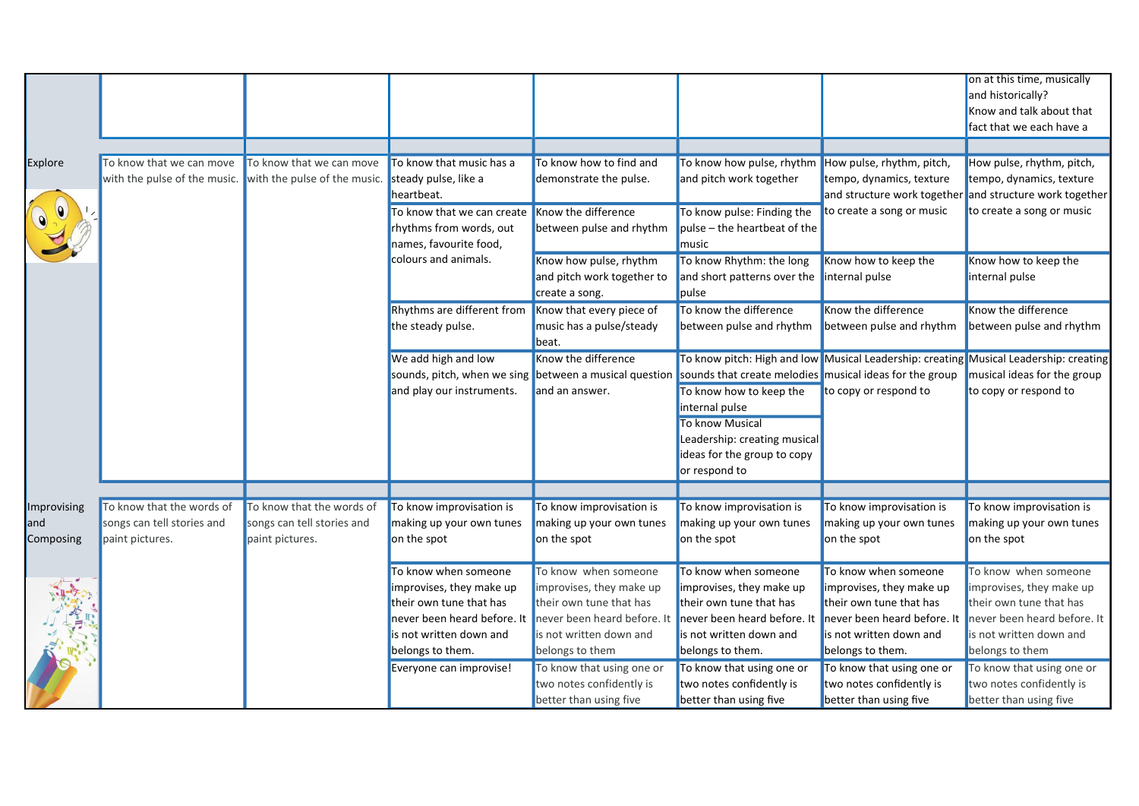|             |                                                           |                            |                                                        |                             |                                                         |                                                                                       | on at this time, musically  |
|-------------|-----------------------------------------------------------|----------------------------|--------------------------------------------------------|-----------------------------|---------------------------------------------------------|---------------------------------------------------------------------------------------|-----------------------------|
|             |                                                           |                            |                                                        |                             |                                                         |                                                                                       | and historically?           |
|             |                                                           |                            |                                                        |                             |                                                         |                                                                                       | Know and talk about that    |
|             |                                                           |                            |                                                        |                             |                                                         |                                                                                       | fact that we each have a    |
|             |                                                           |                            |                                                        |                             |                                                         |                                                                                       |                             |
|             | To know that we can move                                  | To know that we can move   | To know that music has a                               | To know how to find and     | To know how pulse, rhythm                               | How pulse, rhythm, pitch,                                                             | How pulse, rhythm, pitch,   |
| Explore     | with the pulse of the music. with the pulse of the music. |                            | steady pulse, like a                                   | demonstrate the pulse.      | and pitch work together                                 | tempo, dynamics, texture                                                              | tempo, dynamics, texture    |
|             |                                                           |                            | heartbeat.                                             |                             |                                                         | and structure work together                                                           | and structure work together |
| OUNT        |                                                           |                            |                                                        |                             |                                                         |                                                                                       |                             |
|             |                                                           |                            | To know that we can create                             | Know the difference         | To know pulse: Finding the                              | to create a song or music                                                             | to create a song or music   |
|             |                                                           |                            | rhythms from words, out                                | between pulse and rhythm    | pulse – the heartbeat of the                            |                                                                                       |                             |
|             |                                                           |                            | names, favourite food,                                 |                             | music                                                   |                                                                                       |                             |
|             |                                                           |                            | colours and animals.                                   | Know how pulse, rhythm      | To know Rhythm: the long                                | Know how to keep the                                                                  | Know how to keep the        |
|             |                                                           |                            |                                                        | and pitch work together to  | and short patterns over the                             | internal pulse                                                                        | internal pulse              |
|             |                                                           |                            |                                                        | create a song.              | pulse                                                   |                                                                                       |                             |
|             |                                                           |                            | Rhythms are different from                             | Know that every piece of    | To know the difference                                  | Know the difference                                                                   | Know the difference         |
|             |                                                           |                            | the steady pulse.                                      | music has a pulse/steady    | between pulse and rhythm                                | between pulse and rhythm                                                              | between pulse and rhythm    |
|             |                                                           |                            |                                                        | beat.                       |                                                         |                                                                                       |                             |
|             |                                                           |                            | We add high and low                                    | Know the difference         |                                                         | To know pitch: High and low Musical Leadership: creating Musical Leadership: creating |                             |
|             |                                                           |                            | sounds, pitch, when we sing between a musical question |                             | sounds that create melodies musical ideas for the group |                                                                                       | musical ideas for the group |
|             |                                                           |                            | and play our instruments.                              | and an answer.              | To know how to keep the                                 | to copy or respond to                                                                 | to copy or respond to       |
|             |                                                           |                            |                                                        |                             | internal pulse                                          |                                                                                       |                             |
|             |                                                           |                            |                                                        |                             | <b>To know Musical</b>                                  |                                                                                       |                             |
|             |                                                           |                            |                                                        |                             | Leadership: creating musical                            |                                                                                       |                             |
|             |                                                           |                            |                                                        |                             | ideas for the group to copy                             |                                                                                       |                             |
|             |                                                           |                            |                                                        |                             | or respond to                                           |                                                                                       |                             |
|             |                                                           |                            |                                                        |                             |                                                         |                                                                                       |                             |
| Improvising | To know that the words of                                 | To know that the words of  | To know improvisation is                               | To know improvisation is    | To know improvisation is                                | To know improvisation is                                                              | To know improvisation is    |
| and         | songs can tell stories and                                | songs can tell stories and | making up your own tunes                               | making up your own tunes    | making up your own tunes                                | making up your own tunes                                                              | making up your own tunes    |
| Composing   | paint pictures.                                           | paint pictures.            | on the spot                                            | on the spot                 | on the spot                                             | on the spot                                                                           | on the spot                 |
|             |                                                           |                            |                                                        |                             |                                                         |                                                                                       |                             |
|             |                                                           |                            | To know when someone                                   | To know when someone        | To know when someone                                    | To know when someone                                                                  | To know when someone        |
|             |                                                           |                            | improvises, they make up                               | improvises, they make up    | improvises, they make up                                | improvises, they make up                                                              | improvises, they make up    |
|             |                                                           |                            | their own tune that has                                | their own tune that has     | their own tune that has                                 | their own tune that has                                                               | their own tune that has     |
|             |                                                           |                            | never been heard before. It                            | never been heard before. It | never been heard before. It                             | never been heard before. I                                                            | never been heard before. It |
|             |                                                           |                            | is not written down and                                | is not written down and     | is not written down and                                 | is not written down and                                                               | is not written down and     |
| 「海外の風景」     |                                                           |                            | belongs to them.                                       | belongs to them             | belongs to them.                                        | belongs to them.                                                                      | belongs to them             |
|             |                                                           |                            | Everyone can improvise!                                | To know that using one or   | To know that using one or                               | To know that using one or                                                             | To know that using one or   |
|             |                                                           |                            |                                                        | two notes confidently is    | two notes confidently is                                | two notes confidently is                                                              | two notes confidently is    |
|             |                                                           |                            |                                                        | better than using five      | better than using five                                  | better than using five                                                                | better than using five      |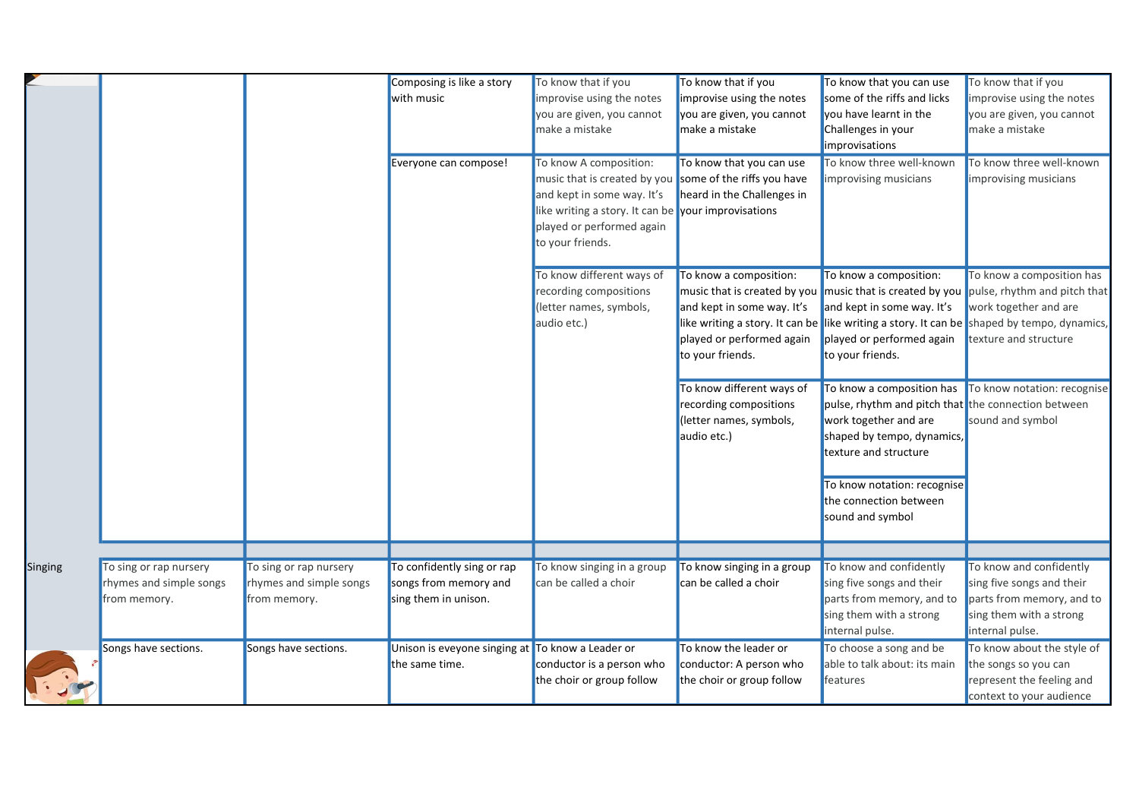|         |                         |                         | Composing is like a story                        | To know that if you                                     | To know that if you        | To know that you can use                            | To know that if you                                                                        |
|---------|-------------------------|-------------------------|--------------------------------------------------|---------------------------------------------------------|----------------------------|-----------------------------------------------------|--------------------------------------------------------------------------------------------|
|         |                         |                         | with music                                       | improvise using the notes                               | improvise using the notes  | some of the riffs and licks                         | improvise using the notes                                                                  |
|         |                         |                         |                                                  | you are given, you cannot                               | you are given, you cannot  | you have learnt in the                              | you are given, you cannot                                                                  |
|         |                         |                         |                                                  | make a mistake                                          | make a mistake             | Challenges in your                                  | make a mistake                                                                             |
|         |                         |                         |                                                  |                                                         |                            | improvisations                                      |                                                                                            |
|         |                         |                         | Everyone can compose!                            | To know A composition:                                  | To know that you can use   | To know three well-known                            | To know three well-known                                                                   |
|         |                         |                         |                                                  | music that is created by you some of the riffs you have |                            | improvising musicians                               | improvising musicians                                                                      |
|         |                         |                         |                                                  | and kept in some way. It's                              | heard in the Challenges in |                                                     |                                                                                            |
|         |                         |                         |                                                  | like writing a story. It can be your improvisations     |                            |                                                     |                                                                                            |
|         |                         |                         |                                                  | played or performed again                               |                            |                                                     |                                                                                            |
|         |                         |                         |                                                  | to your friends.                                        |                            |                                                     |                                                                                            |
|         |                         |                         |                                                  | To know different ways of                               | To know a composition:     | To know a composition:                              | To know a composition has                                                                  |
|         |                         |                         |                                                  | recording compositions                                  |                            |                                                     | music that is created by you music that is created by you pulse, rhythm and pitch that     |
|         |                         |                         |                                                  | (letter names, symbols,                                 | and kept in some way. It's | and kept in some way. It's                          | work together and are                                                                      |
|         |                         |                         |                                                  | audio etc.)                                             |                            |                                                     | like writing a story. It can be like writing a story. It can be shaped by tempo, dynamics, |
|         |                         |                         |                                                  |                                                         | played or performed again  | played or performed again                           | texture and structure                                                                      |
|         |                         |                         |                                                  |                                                         | to your friends.           | to your friends.                                    |                                                                                            |
|         |                         |                         |                                                  |                                                         |                            |                                                     |                                                                                            |
|         |                         |                         |                                                  |                                                         | To know different ways of  | To know a composition has                           | To know notation: recognise                                                                |
|         |                         |                         |                                                  |                                                         | recording compositions     | pulse, rhythm and pitch that the connection between |                                                                                            |
|         |                         |                         |                                                  |                                                         | (letter names, symbols,    | work together and are                               | sound and symbol                                                                           |
|         |                         |                         |                                                  |                                                         | audio etc.)                | shaped by tempo, dynamics,                          |                                                                                            |
|         |                         |                         |                                                  |                                                         |                            | texture and structure                               |                                                                                            |
|         |                         |                         |                                                  |                                                         |                            | To know notation: recognise                         |                                                                                            |
|         |                         |                         |                                                  |                                                         |                            | the connection between                              |                                                                                            |
|         |                         |                         |                                                  |                                                         |                            | sound and symbol                                    |                                                                                            |
|         |                         |                         |                                                  |                                                         |                            |                                                     |                                                                                            |
|         |                         |                         |                                                  |                                                         |                            |                                                     |                                                                                            |
| Singing | To sing or rap nursery  | To sing or rap nursery  | To confidently sing or rap                       | To know singing in a group                              | To know singing in a group | To know and confidently                             | To know and confidently                                                                    |
|         | rhymes and simple songs | rhymes and simple songs | songs from memory and                            | can be called a choir                                   | can be called a choir      | sing five songs and their                           | sing five songs and their                                                                  |
|         | from memory.            | from memory.            | sing them in unison.                             |                                                         |                            | parts from memory, and to                           | parts from memory, and to                                                                  |
|         |                         |                         |                                                  |                                                         |                            | sing them with a strong                             | sing them with a strong                                                                    |
|         |                         |                         |                                                  |                                                         |                            | internal pulse.                                     | internal pulse.                                                                            |
|         | Songs have sections.    | Songs have sections.    | Unison is eveyone singing at To know a Leader or |                                                         | To know the leader or      | To choose a song and be                             | To know about the style of                                                                 |
|         |                         |                         | the same time.                                   | conductor is a person who                               | conductor: A person who    | able to talk about: its main                        | the songs so you can                                                                       |
|         |                         |                         |                                                  | the choir or group follow                               | the choir or group follow  | features                                            | represent the feeling and                                                                  |
|         |                         |                         |                                                  |                                                         |                            |                                                     | context to your audience                                                                   |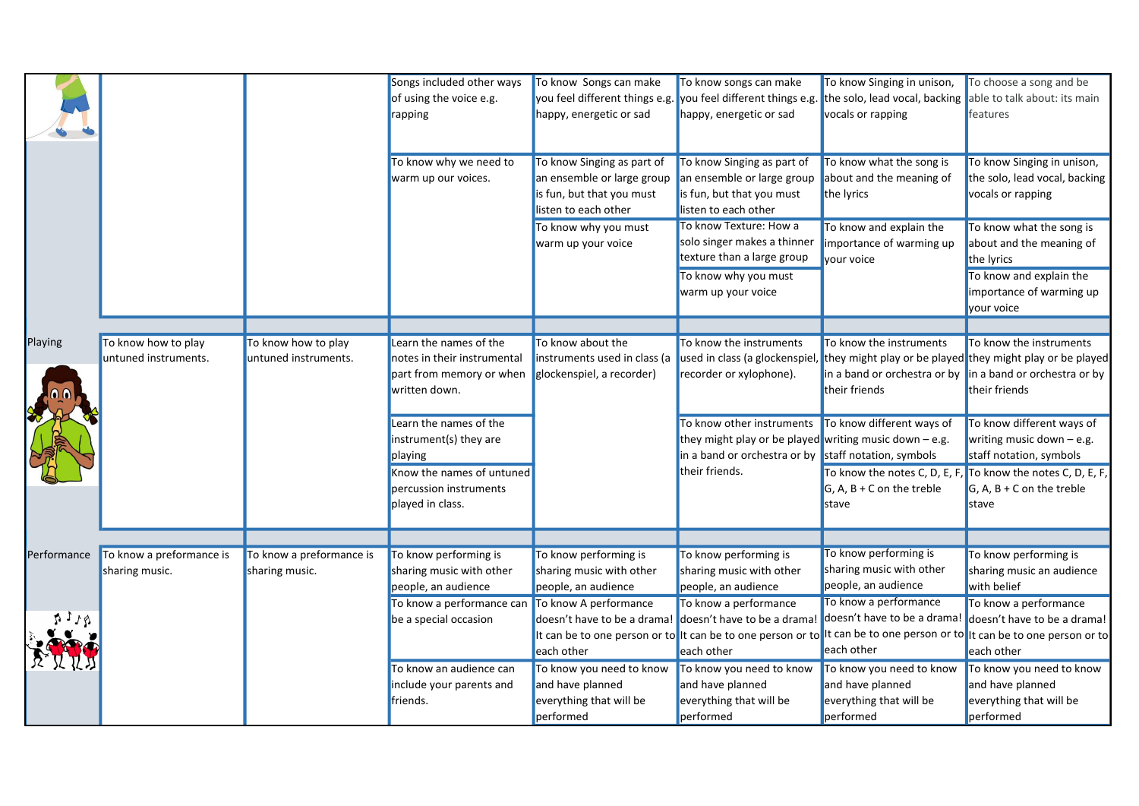|             |                                             |                                             | Songs included other ways<br>of using the voice e.g.<br>rapping                                                              | To know Songs can make<br>you feel different things e.g. you feel different things e.g.<br>happy, energetic or sad | To know songs can make<br>happy, energetic or sad                                                                                       | To know Singing in unison,<br>the solo, lead vocal, backing<br>vocals or rapping                                                           | To choose a song and be<br>able to talk about: its main<br>features                                                                                                                           |
|-------------|---------------------------------------------|---------------------------------------------|------------------------------------------------------------------------------------------------------------------------------|--------------------------------------------------------------------------------------------------------------------|-----------------------------------------------------------------------------------------------------------------------------------------|--------------------------------------------------------------------------------------------------------------------------------------------|-----------------------------------------------------------------------------------------------------------------------------------------------------------------------------------------------|
|             |                                             |                                             | To know why we need to<br>warm up our voices.                                                                                | To know Singing as part of<br>an ensemble or large group<br>is fun, but that you must<br>listen to each other      | To know Singing as part of<br>an ensemble or large group<br>is fun, but that you must<br>listen to each other<br>To know Texture: How a | To know what the song is<br>about and the meaning of<br>the lyrics                                                                         | To know Singing in unison,<br>the solo, lead vocal, backing<br>vocals or rapping                                                                                                              |
|             |                                             |                                             |                                                                                                                              | To know why you must<br>warm up your voice                                                                         | solo singer makes a thinner<br>texture than a large group<br>To know why you must<br>warm up your voice                                 | To know and explain the<br>importance of warming up<br>vour voice                                                                          | To know what the song is<br>about and the meaning of<br>the lyrics<br>To know and explain the<br>importance of warming up<br>your voice                                                       |
|             |                                             |                                             |                                                                                                                              |                                                                                                                    |                                                                                                                                         |                                                                                                                                            |                                                                                                                                                                                               |
| Playing     | To know how to play<br>untuned instruments. | To know how to play<br>untuned instruments. | Learn the names of the<br>notes in their instrumental<br>part from memory or when<br>written down.<br>Learn the names of the | To know about the<br>instruments used in class (a<br>glockenspiel, a recorder)                                     | To know the instruments<br>recorder or xylophone).<br>To know other instruments                                                         | To know the instruments<br>in a band or orchestra or by $\vert$ in a band or orchestra or by<br>their friends<br>To know different ways of | To know the instruments<br>used in class (a glockenspiel, they might play or be played they might play or be played<br>their friends<br>To know different ways of                             |
|             |                                             |                                             | instrument(s) they are<br>playing<br>Know the names of untuned<br>percussion instruments<br>played in class.                 |                                                                                                                    | they might play or be played writing music down $-$ e.g.<br>in a band or orchestra or by<br>their friends.                              | staff notation, symbols<br>To know the notes C, D, E, F,<br>$G, A, B + C$ on the treble<br>stave                                           | writing music down $-$ e.g.<br>staff notation, symbols<br>To know the notes C, D, E, F,<br>$G, A, B + C$ on the treble<br>stave                                                               |
|             |                                             |                                             |                                                                                                                              |                                                                                                                    |                                                                                                                                         |                                                                                                                                            |                                                                                                                                                                                               |
| Performance | To know a preformance is<br>sharing music.  | To know a preformance is<br>sharing music.  | To know performing is<br>sharing music with other<br>people, an audience                                                     | To know performing is<br>sharing music with other<br>people, an audience                                           | To know performing is<br>sharing music with other<br>people, an audience                                                                | To know performing is<br>sharing music with other<br>people, an audience                                                                   | To know performing is<br>sharing music an audience<br>with belief                                                                                                                             |
|             |                                             |                                             | To know a performance can To know A performance<br>be a special occasion                                                     | doesn't have to be a drama! doesn't have to be a drama!<br>each other                                              | To know a performance<br>each other                                                                                                     | To know a performance<br>doesn't have to be a drama!<br>each other                                                                         | To know a performance<br>doesn't have to be a drama!<br>It can be to one person or to It can be to one person or to It can be to one person or to It can be to one person or to<br>each other |
|             |                                             |                                             | To know an audience can<br>include your parents and<br>friends.                                                              | To know you need to know<br>and have planned<br>everything that will be<br>performed                               | To know you need to know<br>and have planned<br>everything that will be<br>performed                                                    | To know you need to know<br>and have planned<br>everything that will be<br>performed                                                       | To know you need to know<br>and have planned<br>everything that will be<br>performed                                                                                                          |